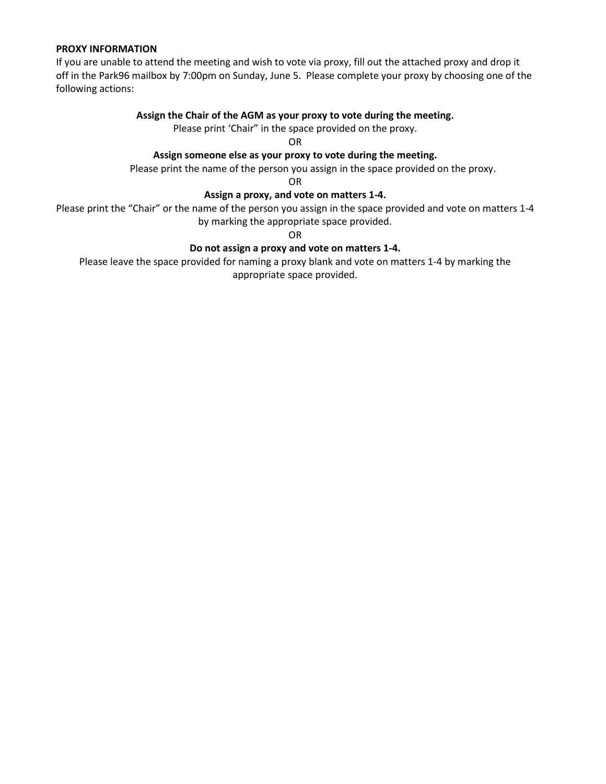### **PROXY INFORMATION**

If you are unable to attend the meeting and wish to vote via proxy, fill out the attached proxy and drop it off in the Park96 mailbox by 7:00pm on Sunday, June 5. Please complete your proxy by choosing one of the following actions:

## **Assign the Chair of the AGM as your proxy to vote during the meeting.**

Please print 'Chair" in the space provided on the proxy.

OR

## **Assign someone else as your proxy to vote during the meeting.**

Please print the name of the person you assign in the space provided on the proxy.

OR

### **Assign a proxy, and vote on matters 1-4.**

Please print the "Chair" or the name of the person you assign in the space provided and vote on matters 1-4 by marking the appropriate space provided.

OR

## **Do not assign a proxy and vote on matters 1-4.**

Please leave the space provided for naming a proxy blank and vote on matters 1-4 by marking the appropriate space provided.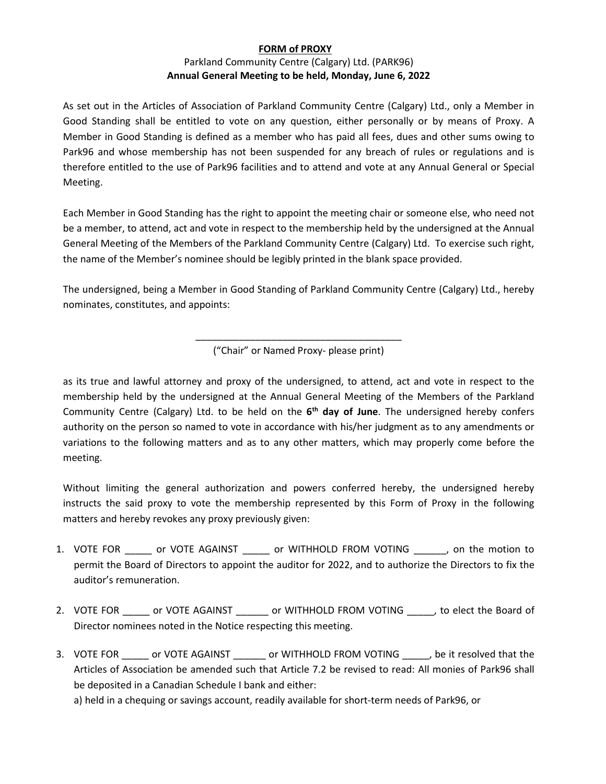# **FORM of PROXY** Parkland Community Centre (Calgary) Ltd. (PARK96) **Annual General Meeting to be held, Monday, June 6, 2022**

As set out in the Articles of Association of Parkland Community Centre (Calgary) Ltd., only a Member in Good Standing shall be entitled to vote on any question, either personally or by means of Proxy. A Member in Good Standing is defined as a member who has paid all fees, dues and other sums owing to Park96 and whose membership has not been suspended for any breach of rules or regulations and is therefore entitled to the use of Park96 facilities and to attend and vote at any Annual General or Special Meeting.

Each Member in Good Standing has the right to appoint the meeting chair or someone else, who need not be a member, to attend, act and vote in respect to the membership held by the undersigned at the Annual General Meeting of the Members of the Parkland Community Centre (Calgary) Ltd. To exercise such right, the name of the Member's nominee should be legibly printed in the blank space provided.

The undersigned, being a Member in Good Standing of Parkland Community Centre (Calgary) Ltd., hereby nominates, constitutes, and appoints:

> \_\_\_\_\_\_\_\_\_\_\_\_\_\_\_\_\_\_\_\_\_\_\_\_\_\_\_\_\_\_\_\_\_\_\_\_\_\_ ("Chair" or Named Proxy- please print)

as its true and lawful attorney and proxy of the undersigned, to attend, act and vote in respect to the membership held by the undersigned at the Annual General Meeting of the Members of the Parkland Community Centre (Calgary) Ltd. to be held on the **6th day of June**. The undersigned hereby confers authority on the person so named to vote in accordance with his/her judgment as to any amendments or variations to the following matters and as to any other matters, which may properly come before the meeting.

Without limiting the general authorization and powers conferred hereby, the undersigned hereby instructs the said proxy to vote the membership represented by this Form of Proxy in the following matters and hereby revokes any proxy previously given:

- 1. VOTE FOR \_\_\_\_\_ or VOTE AGAINST \_\_\_\_\_ or WITHHOLD FROM VOTING \_\_\_\_\_\_, on the motion to permit the Board of Directors to appoint the auditor for 2022, and to authorize the Directors to fix the auditor's remuneration.
- 2. VOTE FOR cor VOTE AGAINST cor WITHHOLD FROM VOTING to elect the Board of Director nominees noted in the Notice respecting this meeting.
- 3. VOTE FOR or VOTE AGAINST or WITHHOLD FROM VOTING , be it resolved that the Articles of Association be amended such that Article 7.2 be revised to read: All monies of Park96 shall be deposited in a Canadian Schedule I bank and either:

a) held in a chequing or savings account, readily available for short-term needs of Park96, or